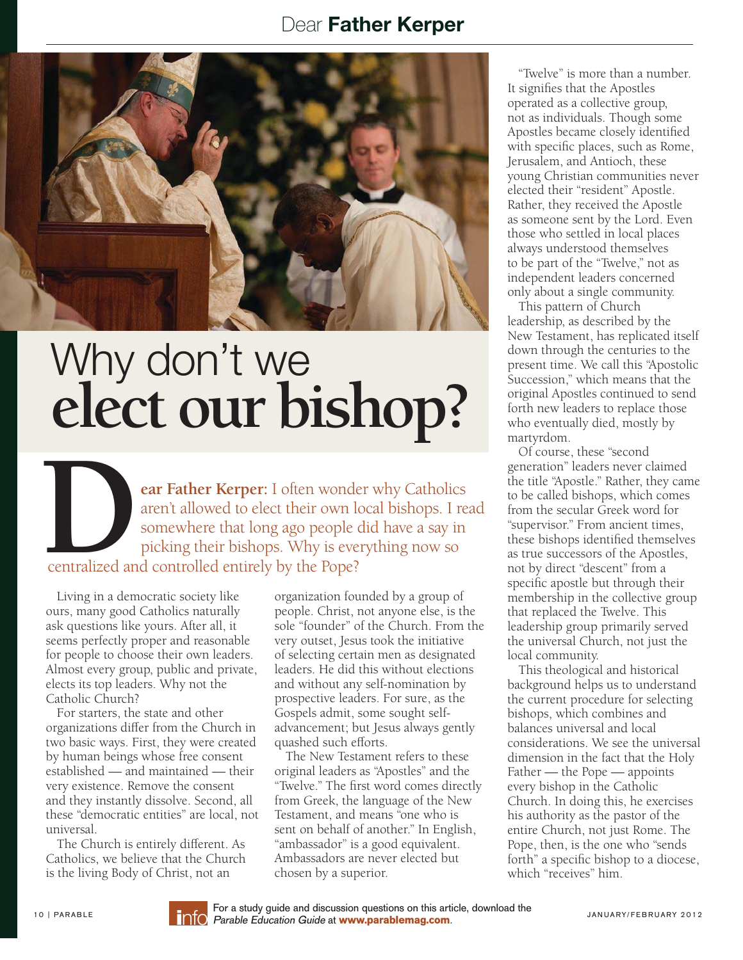## Dear Father Kerper



## Why don't we elect our bishop?

**EXAMPLE STATE IS CONSIDERED AND A SET OF A SURFACE OF A SURFACE AND THE SOMEWHERE THE SOMEWHERE THE SOMEWHERE A SAY IN DICKING THE DISPONSION OF A SAY IN DICKING THE DISPONSION OF A SAY IN SEVERAL THE DISPONSION OF A SAY** aren't allowed to elect their own local bishops. I read somewhere that long ago people did have a say in picking their bishops. Why is everything now so centralized and controlled entirely by the Pope?

Living in a democratic society like ours, many good Catholics naturally ask questions like yours. After all, it seems perfectly proper and reasonable for people to choose their own leaders. Almost every group, public and private, elects its top leaders. Why not the Catholic Church?

 For starters, the state and other organizations differ from the Church in two basic ways. First, they were created by human beings whose free consent established — and maintained — their very existence. Remove the consent and they instantly dissolve. Second, all these "democratic entities" are local, not universal.

 The Church is entirely different. As Catholics, we believe that the Church is the living Body of Christ, not an

organization founded by a group of people. Christ, not anyone else, is the sole "founder" of the Church. From the very outset, Jesus took the initiative of selecting certain men as designated leaders. He did this without elections and without any self-nomination by prospective leaders. For sure, as the Gospels admit, some sought selfadvancement; but Jesus always gently quashed such efforts.

 The New Testament refers to these original leaders as "Apostles" and the "Twelve." The first word comes directly from Greek, the language of the New Testament, and means "one who is sent on behalf of another." In English, "ambassador" is a good equivalent. Ambassadors are never elected but chosen by a superior.

 "Twelve" is more than a number. It signifies that the Apostles operated as a collective group, not as individuals. Though some Apostles became closely identified with specific places, such as Rome, Jerusalem, and Antioch, these young Christian communities never elected their "resident" Apostle. Rather, they received the Apostle as someone sent by the Lord. Even those who settled in local places always understood themselves to be part of the "Twelve," not as independent leaders concerned only about a single community.

 This pattern of Church leadership, as described by the New Testament, has replicated itself down through the centuries to the present time. We call this "Apostolic Succession," which means that the original Apostles continued to send forth new leaders to replace those who eventually died, mostly by martyrdom.

 Of course, these "second generation" leaders never claimed the title "Apostle." Rather, they came to be called bishops, which comes from the secular Greek word for "supervisor." From ancient times, these bishops identified themselves as true successors of the Apostles, not by direct "descent" from a specific apostle but through their membership in the collective group that replaced the Twelve. This leadership group primarily served the universal Church, not just the local community.

 This theological and historical background helps us to understand the current procedure for selecting bishops, which combines and balances universal and local considerations. We see the universal dimension in the fact that the Holy Father — the Pope — appoints every bishop in the Catholic Church. In doing this, he exercises his authority as the pastor of the entire Church, not just Rome. The Pope, then, is the one who "sends forth" a specific bishop to a diocese, which "receives" him.